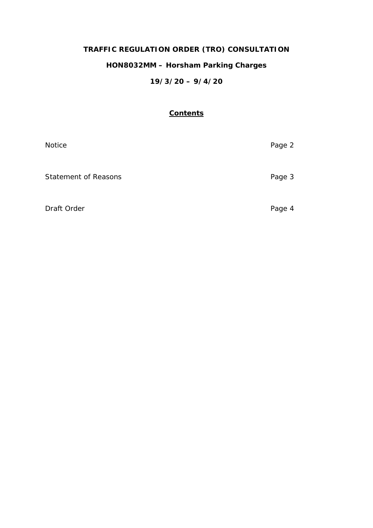# **TRAFFIC REGULATION ORDER (TRO) CONSULTATION**

## **HON8032MM – Horsham Parking Charges**

## **19/3/20 – 9/4/20**

## **Contents**

| Notice                      | Page 2 |
|-----------------------------|--------|
| <b>Statement of Reasons</b> | Page 3 |
| Draft Order                 | Page 4 |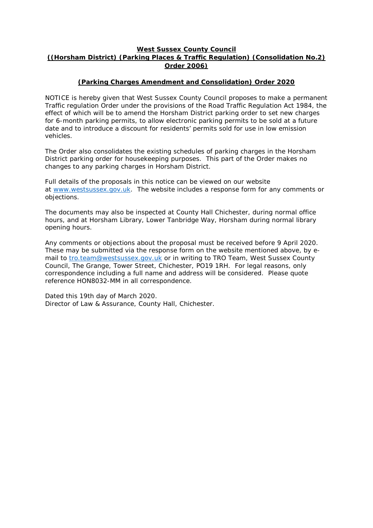### **West Sussex County Council ((Horsham District) (Parking Places & Traffic Regulation) (Consolidation No.2) Order 2006)**

## **(Parking Charges Amendment and Consolidation) Order 2020**

NOTICE is hereby given that West Sussex County Council proposes to make a permanent Traffic regulation Order under the provisions of the Road Traffic Regulation Act 1984, the effect of which will be to amend the Horsham District parking order to set new charges for 6-month parking permits, to allow electronic parking permits to be sold at a future date and to introduce a discount for residents' permits sold for use in low emission vehicles.

The Order also consolidates the existing schedules of parking charges in the Horsham District parking order for housekeeping purposes. This part of the Order makes no changes to any parking charges in Horsham District.

Full details of the proposals in this notice can be viewed on our website at [www.westsussex.gov.uk.](http://www.westsussex.gov.uk/) The website includes a response form for any comments or objections.

The documents may also be inspected at County Hall Chichester, during normal office hours, and at Horsham Library, Lower Tanbridge Way, Horsham during normal library opening hours.

Any comments or objections about the proposal must be received before 9 April 2020. These may be submitted via the response form on the website mentioned above, by email to [tro.team@westsussex.gov.uk](mailto:tro.team@westsussex.gov.uk) or in writing to TRO Team, West Sussex County Council, The Grange, Tower Street, Chichester, PO19 1RH. For legal reasons, only correspondence including a full name and address will be considered. Please quote reference HON8032-MM in all correspondence.

Dated this 19th day of March 2020. Director of Law & Assurance, County Hall, Chichester.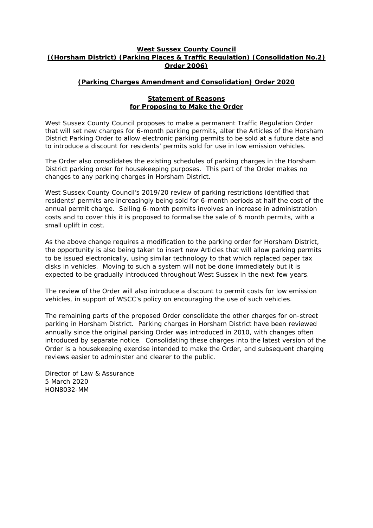### **West Sussex County Council ((Horsham District) (Parking Places & Traffic Regulation) (Consolidation No.2) Order 2006)**

## **(Parking Charges Amendment and Consolidation) Order 2020**

#### **Statement of Reasons for Proposing to Make the Order**

West Sussex County Council proposes to make a permanent Traffic Regulation Order that will set new charges for 6-month parking permits, alter the Articles of the Horsham District Parking Order to allow electronic parking permits to be sold at a future date and to introduce a discount for residents' permits sold for use in low emission vehicles.

The Order also consolidates the existing schedules of parking charges in the Horsham District parking order for housekeeping purposes. This part of the Order makes no changes to any parking charges in Horsham District.

West Sussex County Council's 2019/20 review of parking restrictions identified that residents' permits are increasingly being sold for 6-month periods at half the cost of the annual permit charge. Selling 6-month permits involves an increase in administration costs and to cover this it is proposed to formalise the sale of 6 month permits, with a small uplift in cost.

As the above change requires a modification to the parking order for Horsham District, the opportunity is also being taken to insert new Articles that will allow parking permits to be issued electronically, using similar technology to that which replaced paper tax disks in vehicles. Moving to such a system will not be done immediately but it is expected to be gradually introduced throughout West Sussex in the next few years.

The review of the Order will also introduce a discount to permit costs for low emission vehicles, in support of WSCC's policy on encouraging the use of such vehicles.

The remaining parts of the proposed Order consolidate the other charges for on-street parking in Horsham District. Parking charges in Horsham District have been reviewed annually since the original parking Order was introduced in 2010, with changes often introduced by separate notice. Consolidating these charges into the latest version of the Order is a housekeeping exercise intended to make the Order, and subsequent charging reviews easier to administer and clearer to the public.

Director of Law & Assurance 5 March 2020 HON8032-MM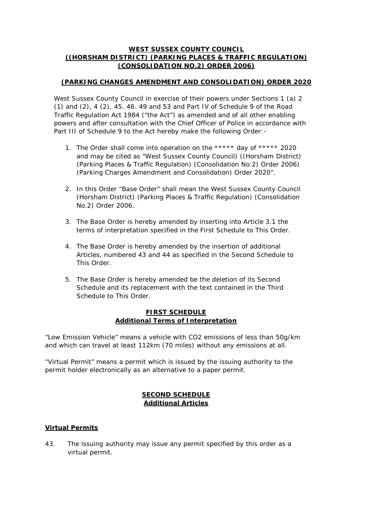### **WEST SUSSEX COUNTY COUNCIL ((HORSHAM DISTRICT) (PARKING PLACES & TRAFFIC REGULATION) (CONSOLIDATION NO.2) ORDER 2006)**

## **(PARKING CHANGES AMENDMENT AND CONSOLIDATION) ORDER 2020**

West Sussex County Council in exercise of their powers under Sections 1 (a) 2 (1) and (2), 4 (2), 45. 46. 49 and 53 and Part IV of Schedule 9 of the Road Traffic Regulation Act 1984 ("the Act") as amended and of all other enabling powers and after consultation with the Chief Officer of Police in accordance with Part III of Schedule 9 to the Act hereby make the following Order: -

- 1. The Order shall come into operation on the \*\*\*\*\* day of \*\*\*\*\* 2020 and may be cited as "West Sussex County Council) ((Horsham District) (Parking Places & Traffic Regulation) (Consolidation No.2) Order 2006) (Parking Charges Amendment and Consolidation) Order 2020".
- 2. In this Order "Base Order" shall mean the West Sussex County Council (Horsham District) (Parking Places & Traffic Regulation) (Consolidation No.2) Order 2006.
- 3. The Base Order is hereby amended by inserting into Article 3.1 the terms of interpretation specified in the First Schedule to This Order.
- 4. The Base Order is hereby amended by the insertion of additional Articles, numbered 43 and 44 as specified in the Second Schedule to This Order.
- 5. The Base Order is hereby amended be the deletion of its Second Schedule and its replacement with the text contained in the Third Schedule to This Order.

### **FIRST SCHEDULE Additional Terms of Interpretation**

"Low Emission Vehicle" means a vehicle with CO2 emissions of less than 50g/km and which can travel at least 112km (70 miles) without any emissions at all.

"Virtual Permit" means a permit which is issued by the issuing authority to the permit holder electronically as an alternative to a paper permit.

## **SECOND SCHEDULE Additional Articles**

## **Virtual Permits**

43. The issuing authority may issue any permit specified by this order as a virtual permit.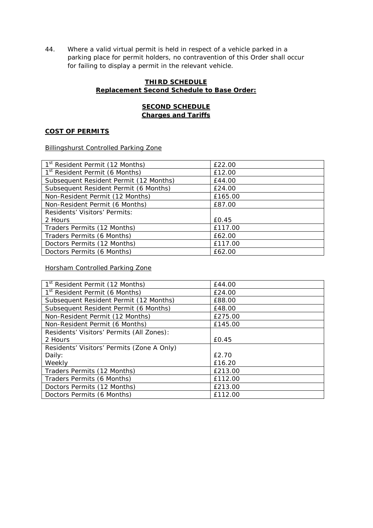44. Where a valid virtual permit is held in respect of a vehicle parked in a parking place for permit holders, no contravention of this Order shall occur for failing to display a permit in the relevant vehicle.

## **THIRD SCHEDULE Replacement Second Schedule to Base Order:**

## **SECOND SCHEDULE Charges and Tariffs**

### **COST OF PERMITS**

Billingshurst Controlled Parking Zone

| 1 <sup>st</sup> Resident Permit (12 Months) | £22.00  |
|---------------------------------------------|---------|
| 1 <sup>st</sup> Resident Permit (6 Months)  | £12.00  |
| Subsequent Resident Permit (12 Months)      | £44.00  |
| Subsequent Resident Permit (6 Months)       | £24.00  |
| Non-Resident Permit (12 Months)             | £165.00 |
| Non-Resident Permit (6 Months)              | £87.00  |
| Residents' Visitors' Permits:               |         |
| 2 Hours                                     | £0.45   |
| Traders Permits (12 Months)                 | £117.00 |
| Traders Permits (6 Months)                  | £62.00  |
| Doctors Permits (12 Months)                 | £117.00 |
| Doctors Permits (6 Months)                  | £62.00  |

Horsham Controlled Parking Zone

| 1 <sup>st</sup> Resident Permit (12 Months) | £44.00  |
|---------------------------------------------|---------|
| 1 <sup>st</sup> Resident Permit (6 Months)  | £24.00  |
| Subsequent Resident Permit (12 Months)      | £88.00  |
| Subsequent Resident Permit (6 Months)       | £48.00  |
| Non-Resident Permit (12 Months)             | £275.00 |
| Non-Resident Permit (6 Months)              | £145.00 |
| Residents' Visitors' Permits (All Zones):   |         |
| 2 Hours                                     | £0.45   |
| Residents' Visitors' Permits (Zone A Only)  |         |
| Daily:                                      | £2.70   |
| Weekly                                      | £16.20  |
| Traders Permits (12 Months)                 | £213.00 |
| Traders Permits (6 Months)                  | £112.00 |
| Doctors Permits (12 Months)                 | £213.00 |
| Doctors Permits (6 Months)                  | £112.00 |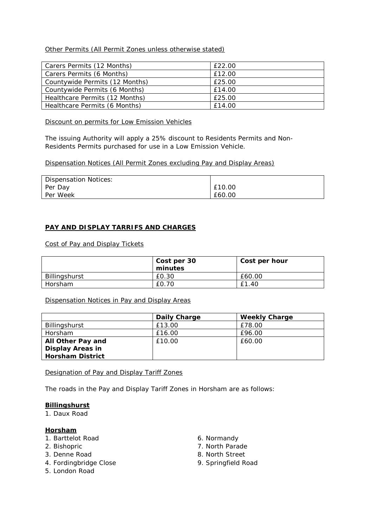## Other Permits (All Permit Zones unless otherwise stated)

| Carers Permits (12 Months)     | £22.00 |
|--------------------------------|--------|
| Carers Permits (6 Months)      | £12.00 |
| Countywide Permits (12 Months) | £25.00 |
| Countywide Permits (6 Months)  | £14.00 |
| Healthcare Permits (12 Months) | £25.00 |
| Healthcare Permits (6 Months)  | £14.00 |

#### Discount on permits for Low Emission Vehicles

The issuing Authority will apply a 25% discount to Residents Permits and Non-Residents Permits purchased for use in a Low Emission Vehicle.

Dispensation Notices (All Permit Zones excluding Pay and Display Areas)

| Dispensation Notices: |        |
|-----------------------|--------|
| Per Day               | £10.00 |
| Per Week              | £60.00 |

### **PAY AND DISPLAY TARRIFS AND CHARGES**

Cost of Pay and Display Tickets

|               | Cost per 30<br>minutes | Cost per hour |
|---------------|------------------------|---------------|
| Billingshurst | £0.30                  | £60.00        |
| Horsham       | £0.70                  | £1.40         |

Dispensation Notices in Pay and Display Areas

|                         | Daily Charge | <b>Weekly Charge</b> |
|-------------------------|--------------|----------------------|
| Billingshurst           | £13.00       | £78.00               |
| Horsham                 | £16.00       | £96.00               |
| All Other Pay and       | £10.00       | £60.00               |
| <b>Display Areas in</b> |              |                      |
| <b>Horsham District</b> |              |                      |

Designation of Pay and Display Tariff Zones

The roads in the Pay and Display Tariff Zones in Horsham are as follows:

#### **Billingshurst**

1. Daux Road

#### **Horsham**

- 1. Barttelot Road
- 2. Bishopric
- 3. Denne Road
- 4. Fordingbridge Close
- 5. London Road
- 6. Normandy
- 7. North Parade
- 8. North Street
- 9. Springfield Road